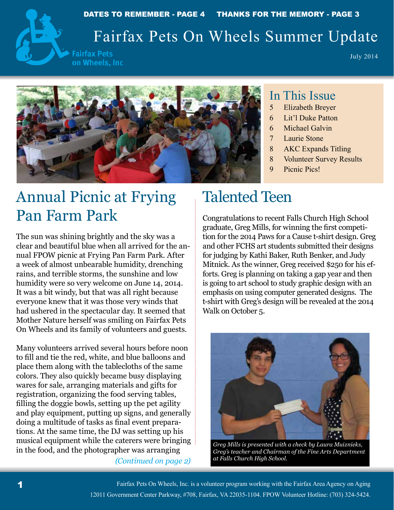

# Fairfax Pets On Wheels Summer Update

**Fairfax Pets** on Wheels, Inc

July 2014



#### In This Issue

- 5 Elizabeth Breyer
- 6 Lit'l Duke Patton
- 6 Michael Galvin
- 7 Laurie Stone
- 8 AKC Expands Titling
- 8 Volunteer Survey Results
- 9 Picnic Pics!

# Annual Picnic at Frying Pan Farm Park

The sun was shining brightly and the sky was a clear and beautiful blue when all arrived for the annual FPOW picnic at Frying Pan Farm Park. After a week of almost unbearable humidity, drenching rains, and terrible storms, the sunshine and low humidity were so very welcome on June 14, 2014. It was a bit windy, but that was all right because everyone knew that it was those very winds that had ushered in the spectacular day. It seemed that Mother Nature herself was smiling on Fairfax Pets On Wheels and its family of volunteers and guests.

Many volunteers arrived several hours before noon to fill and tie the red, white, and blue balloons and place them along with the tablecloths of the same colors. They also quickly became busy displaying wares for sale, arranging materials and gifts for registration, organizing the food serving tables, filling the doggie bowls, setting up the pet agility and play equipment, putting up signs, and generally doing a multitude of tasks as final event preparations. At the same time, the DJ was setting up his musical equipment while the caterers were bringing in the food, and the photographer was arranging

*(Continued on page 2)*

# Talented Teen

Congratulations to recent Falls Church High School graduate, Greg Mills, for winning the first competition for the 2014 Paws for a Cause t-shirt design. Greg and other FCHS art students submitted their designs for judging by Kathi Baker, Ruth Benker, and Judy Mitnick. As the winner, Greg received \$250 for his efforts. Greg is planning on taking a gap year and then is going to art school to study graphic design with an emphasis on using computer generated designs. The t-shirt with Greg's design will be revealed at the 2014 Walk on October 5.



*Greg Mills is presented with a check by Laura Muiznieks, Greg's teacher and Chairman of the Fine Arts Department at Falls Church High School.*

Fairfax Pets On Wheels, Inc. is a volunteer program working with the Fairfax Area Agency on Aging 12011 Government Center Parkway, #708, Fairfax, VA 22035-1104. FPOW Volunteer Hotline: (703) 324-5424.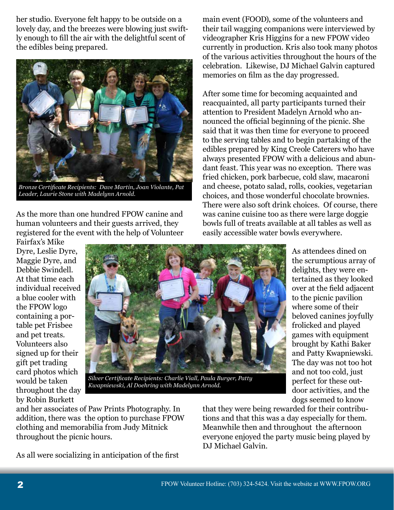her studio. Everyone felt happy to be outside on a lovely day, and the breezes were blowing just swiftly enough to fill the air with the delightful scent of the edibles being prepared.



*Bronze Certificate Recipients: Dave Martin, Joan Violante, Pat Leader, Laurie Stone with Madelynn Arnold.*

As the more than one hundred FPOW canine and human volunteers and their guests arrived, they registered for the event with the help of Volunteer

main event (FOOD), some of the volunteers and their tail wagging companions were interviewed by videographer Kris Higgins for a new FPOW video currently in production. Kris also took many photos of the various activities throughout the hours of the celebration. Likewise, DJ Michael Galvin captured memories on film as the day progressed.

After some time for becoming acquainted and reacquainted, all party participants turned their attention to President Madelyn Arnold who announced the official beginning of the picnic. She said that it was then time for everyone to proceed to the serving tables and to begin partaking of the edibles prepared by King Creole Caterers who have always presented FPOW with a delicious and abundant feast. This year was no exception. There was fried chicken, pork barbecue, cold slaw, macaroni and cheese, potato salad, rolls, cookies, vegetarian choices, and those wonderful chocolate brownies. There were also soft drink choices. Of course, there was canine cuisine too as there were large doggie bowls full of treats available at all tables as well as easily accessible water bowls everywhere.

Fairfax's Mike Dyre, Leslie Dyre, Maggie Dyre, and Debbie Swindell. At that time each individual received a blue cooler with the FPOW logo containing a portable pet Frisbee and pet treats. Volunteers also signed up for their gift pet trading card photos which would be taken throughout the day by Robin Burkett



*Silver Certificate Recipients: Charlie Viall, Paula Burger, Patty Kwapniewski, Al Doehring with Madelynn Arnold.*

As attendees dined on the scrumptious array of delights, they were entertained as they looked over at the field adjacent to the picnic pavilion where some of their beloved canines joyfully frolicked and played games with equipment brought by Kathi Baker and Patty Kwapniewski. The day was not too hot and not too cold, just perfect for these outdoor activities, and the dogs seemed to know

and her associates of Paw Prints Photography. In addition, there was the option to purchase FPOW clothing and memorabilia from Judy Mitnick throughout the picnic hours.

As all were socializing in anticipation of the first

that they were being rewarded for their contributions and that this was a day especially for them. Meanwhile then and throughout the afternoon everyone enjoyed the party music being played by DJ Michael Galvin.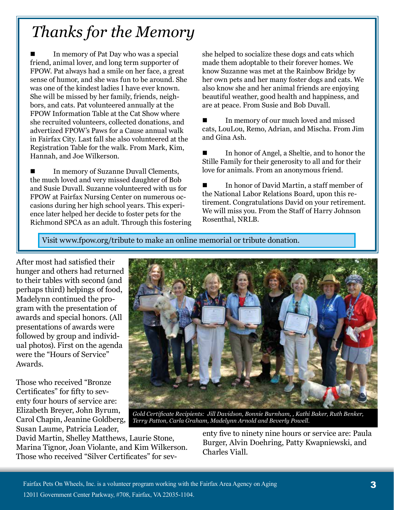# *Thanks for the Memory*

 In memory of Pat Day who was a special friend, animal lover, and long term supporter of FPOW. Pat always had a smile on her face, a great sense of humor, and she was fun to be around. She was one of the kindest ladies I have ever known. She will be missed by her family, friends, neighbors, and cats. Pat volunteered annually at the FPOW Information Table at the Cat Show where she recruited volunteers, collected donations, and advertized FPOW's Paws for a Cause annual walk in Fairfax City. Last fall she also volunteered at the Registration Table for the walk. From Mark, Kim, Hannah, and Joe Wilkerson.

 In memory of Suzanne Duvall Clements, the much loved and very missed daughter of Bob and Susie Duvall. Suzanne volunteered with us for FPOW at Fairfax Nursing Center on numerous occasions during her high school years. This experience later helped her decide to foster pets for the Richmond SPCA as an adult. Through this fostering she helped to socialize these dogs and cats which made them adoptable to their forever homes. We know Suzanne was met at the Rainbow Bridge by her own pets and her many foster dogs and cats. We also know she and her animal friends are enjoying beautiful weather, good health and happiness, and are at peace. From Susie and Bob Duvall.

 In memory of our much loved and missed cats, LouLou, Remo, Adrian, and Mischa. From Jim and Gina Ash.

 In honor of Angel, a Sheltie, and to honor the Stille Family for their generosity to all and for their love for animals. From an anonymous friend.

 In honor of David Martin, a staff member of the National Labor Relations Board, upon this retirement. Congratulations David on your retirement. We will miss you. From the Staff of Harry Johnson Rosenthal, NRLB.

Visit www.fpow.org/tribute to make an online memorial or tribute donation.

After most had satisfied their hunger and others had returned to their tables with second (and perhaps third) helpings of food, Madelynn continued the program with the presentation of awards and special honors. (All presentations of awards were followed by group and individual photos). First on the agenda were the "Hours of Service" Awards.

Those who received "Bronze Certificates" for fifty to seventy four hours of service are: Elizabeth Breyer, John Byrum, Carol Chapin, Jeanine Goldberg, Susan Laume, Patricia Leader,



*Gold Certificate Recipients: Jill Davidson, Bonnie Burnham, , Kathi Baker, Ruth Benker, Terry Patton, Carla Graham, Madelynn Arnold and Beverly Powell.*

David Martin, Shelley Matthews, Laurie Stone, Marina Tignor, Joan Violante, and Kim Wilkerson. Those who received "Silver Certificates" for seventy five to ninety nine hours or service are: Paula Burger, Alvin Doehring, Patty Kwapniewski, and Charles Viall.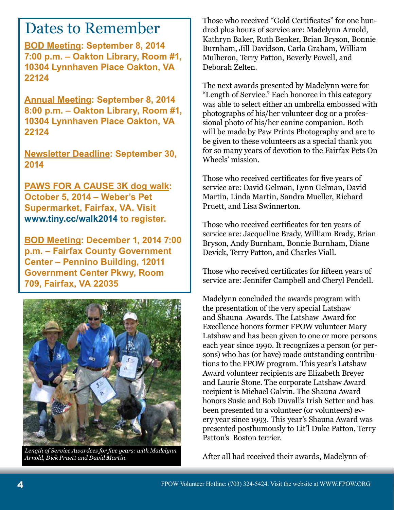# Dates to Remember

**BOD Meeting: September 8, 2014 7:00 p.m. – Oakton Library, Room #1, 10304 Lynnhaven Place Oakton, VA 22124**

**Annual Meeting: September 8, 2014 8:00 p.m. – Oakton Library, Room #1, 10304 Lynnhaven Place Oakton, VA 22124**

**Newsletter Deadline: September 30, 2014**

**PAWS FOR A CAUSE 3K dog walk: October 5, 2014 – Weber's Pet Supermarket, Fairfax, VA. Visit www.tiny.cc/walk2014 to register.**

**BOD Meeting: December 1, 2014 7:00 p.m. – Fairfax County Government Center – Pennino Building, 12011 Government Center Pkwy, Room 709, Fairfax, VA 22035**



*Length of Service Awardees for five years: with Madelynn Arnold, Dick Pruett and David Martin.*

Those who received "Gold Certificates" for one hundred plus hours of service are: Madelynn Arnold, Kathryn Baker, Ruth Benker, Brian Bryson, Bonnie Burnham, Jill Davidson, Carla Graham, William Mulheron, Terry Patton, Beverly Powell, and Deborah Zelten.

The next awards presented by Madelynn were for "Length of Service." Each honoree in this category was able to select either an umbrella embossed with photographs of his/her volunteer dog or a professional photo of his/her canine companion. Both will be made by Paw Prints Photography and are to be given to these volunteers as a special thank you for so many years of devotion to the Fairfax Pets On Wheels' mission.

Those who received certificates for five years of service are: David Gelman, Lynn Gelman, David Martin, Linda Martin, Sandra Mueller, Richard Pruett, and Lisa Swinnerton.

Those who received certificates for ten years of service are: Jacqueline Brady, William Brady, Brian Bryson, Andy Burnham, Bonnie Burnham, Diane Devick, Terry Patton, and Charles Viall.

Those who received certificates for fifteen years of service are: Jennifer Campbell and Cheryl Pendell.

Madelynn concluded the awards program with the presentation of the very special Latshaw and Shauna Awards. The Latshaw Award for Excellence honors former FPOW volunteer Mary Latshaw and has been given to one or more persons each year since 1990. It recognizes a person (or persons) who has (or have) made outstanding contributions to the FPOW program. This year's Latshaw Award volunteer recipients are Elizabeth Breyer and Laurie Stone. The corporate Latshaw Award recipient is Michael Galvin. The Shauna Award honors Susie and Bob Duvall's Irish Setter and has been presented to a volunteer (or volunteers) every year since 1993. This year's Shauna Award was presented posthumously to Lit'l Duke Patton, Terry Patton's Boston terrier.

After all had received their awards, Madelynn of-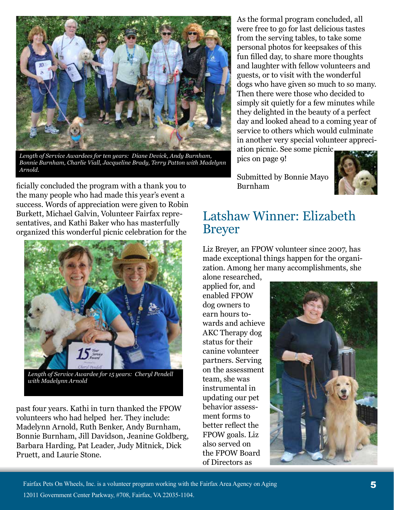

*Length of Service Awardees for ten years: Diane Devick, Andy Burnham, Bonnie Burnham, Charlie Viall, Jacqueline Brady, Terry Patton with Madelynn Arnold.*

ficially concluded the program with a thank you to the many people who had made this year's event a success. Words of appreciation were given to Robin Burkett, Michael Galvin, Volunteer Fairfax representatives, and Kathi Baker who has masterfully organized this wonderful picnic celebration for the



*Length of Service Awardee for 15 years: Cheryl Pendell with Madelynn Arnold*

past four years. Kathi in turn thanked the FPOW volunteers who had helped her. They include: Madelynn Arnold, Ruth Benker, Andy Burnham, Bonnie Burnham, Jill Davidson, Jeanine Goldberg, Barbara Harding, Pat Leader, Judy Mitnick, Dick Pruett, and Laurie Stone.

As the formal program concluded, all were free to go for last delicious tastes from the serving tables, to take some personal photos for keepsakes of this fun filled day, to share more thoughts and laughter with fellow volunteers and guests, or to visit with the wonderful dogs who have given so much to so many. Then there were those who decided to simply sit quietly for a few minutes while they delighted in the beauty of a perfect day and looked ahead to a coming year of service to others which would culminate in another very special volunteer appreci-

ation picnic. See some picnic pics on page 9!

Submitted by Bonnie Mayo Burnham



### Latshaw Winner: Elizabeth Breyer

Liz Breyer, an FPOW volunteer since 2007, has made exceptional things happen for the organization. Among her many accomplishments, she

alone researched, applied for, and enabled FPOW dog owners to earn hours towards and achieve AKC Therapy dog status for their canine volunteer partners. Serving on the assessment team, she was instrumental in updating our pet behavior assessment forms to better reflect the FPOW goals. Liz also served on the FPOW Board of Directors as

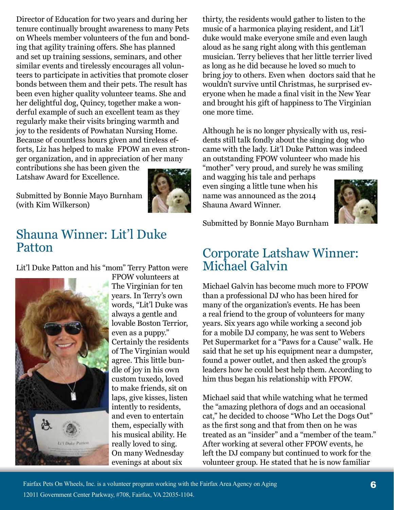Director of Education for two years and during her tenure continually brought awareness to many Pets on Wheels member volunteers of the fun and bonding that agility training offers. She has planned and set up training sessions, seminars, and other similar events and tirelessly encourages all volunteers to participate in activities that promote closer bonds between them and their pets. The result has been even higher quality volunteer teams. She and her delightful dog, Quincy, together make a wonderful example of such an excellent team as they regularly make their visits bringing warmth and joy to the residents of Powhatan Nursing Home. Because of countless hours given and tireless efforts, Liz has helped to make FPOW an even stronger organization, and in appreciation of her many

contributions she has been given the Latshaw Award for Excellence.

Submitted by Bonnie Mayo Burnham (with Kim Wilkerson)



### Shauna Winner: Lit'l Duke Patton

Lit'l Duke Patton and his "mom" Terry Patton were



FPOW volunteers at The Virginian for ten years. In Terry's own words, "Lit'l Duke was always a gentle and lovable Boston Terrior, even as a puppy." Certainly the residents of The Virginian would agree. This little bundle of joy in his own custom tuxedo, loved to make friends, sit on laps, give kisses, listen intently to residents, and even to entertain them, especially with his musical ability. He really loved to sing. On many Wednesday evenings at about six

thirty, the residents would gather to listen to the music of a harmonica playing resident, and Lit'l duke would make everyone smile and even laugh aloud as he sang right along with this gentleman musician. Terry believes that her little terrier lived as long as he did because he loved so much to bring joy to others. Even when doctors said that he wouldn't survive until Christmas, he surprised everyone when he made a final visit in the New Year and brought his gift of happiness to The Virginian one more time.

Although he is no longer physically with us, residents still talk fondly about the singing dog who came with the lady. Lit'l Duke Patton was indeed an outstanding FPOW volunteer who made his "mother" very proud, and surely he was smiling

and wagging his tale and perhaps even singing a little tune when his name was announced as the 2014 Shauna Award Winner.



Submitted by Bonnie Mayo Burnham

## Corporate Latshaw Winner: Michael Galvin

Michael Galvin has become much more to FPOW than a professional DJ who has been hired for many of the organization's events. He has been a real friend to the group of volunteers for many years. Six years ago while working a second job for a mobile DJ company, he was sent to Webers Pet Supermarket for a "Paws for a Cause" walk. He said that he set up his equipment near a dumpster, found a power outlet, and then asked the group's leaders how he could best help them. According to him thus began his relationship with FPOW.

Michael said that while watching what he termed the "amazing plethora of dogs and an occasional cat," he decided to choose "Who Let the Dogs Out" as the first song and that from then on he was treated as an "insider" and a "member of the team." After working at several other FPOW events, he left the DJ company but continued to work for the volunteer group. He stated that he is now familiar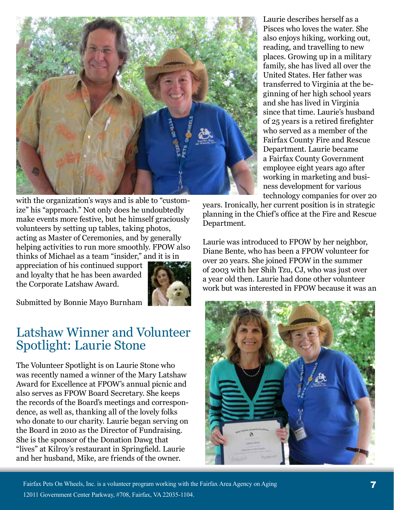

with the organization's ways and is able to "customize" his "approach." Not only does he undoubtedly make events more festive, but he himself graciously volunteers by setting up tables, taking photos, acting as Master of Ceremonies, and by generally helping activities to run more smoothly. FPOW also thinks of Michael as a team "insider," and it is in

appreciation of his continued support and loyalty that he has been awarded the Corporate Latshaw Award.



Submitted by Bonnie Mayo Burnham

### Latshaw Winner and Volunteer Spotlight: Laurie Stone

The Volunteer Spotlight is on Laurie Stone who was recently named a winner of the Mary Latshaw Award for Excellence at FPOW's annual picnic and also serves as FPOW Board Secretary. She keeps the records of the Board's meetings and correspondence, as well as, thanking all of the lovely folks who donate to our charity. Laurie began serving on the Board in 2010 as the Director of Fundraising. She is the sponsor of the Donation Dawg that "lives" at Kilroy's restaurant in Springfield. Laurie and her husband, Mike, are friends of the owner.

Laurie describes herself as a Pisces who loves the water. She also enjoys hiking, working out, reading, and travelling to new places. Growing up in a military family, she has lived all over the United States. Her father was transferred to Virginia at the beginning of her high school years and she has lived in Virginia since that time. Laurie's husband of 25 years is a retired firefighter who served as a member of the Fairfax County Fire and Rescue Department. Laurie became a Fairfax County Government employee eight years ago after working in marketing and business development for various technology companies for over 20

years. Ironically, her current position is in strategic planning in the Chief's office at the Fire and Rescue Department.

Laurie was introduced to FPOW by her neighbor, Diane Bente, who has been a FPOW volunteer for over 20 years. She joined FPOW in the summer of 2003 with her Shih Tzu, CJ, who was just over a year old then. Laurie had done other volunteer work but was interested in FPOW because it was an



Fairfax Pets On Wheels, Inc. is a volunteer program working with the Fairfax Area Agency on Aging 12011 Government Center Parkway, #708, Fairfax, VA 22035-1104.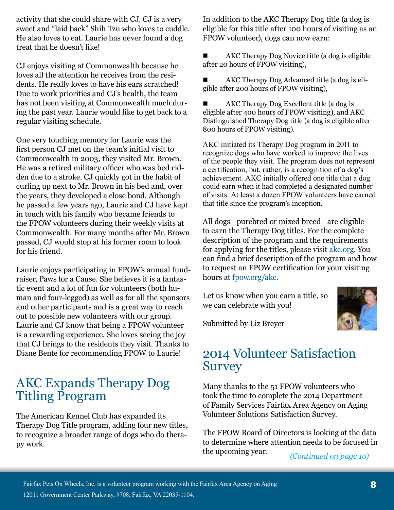activity that she could share with CJ. CJ is a very sweet and "laid back" Shih Tzu who loves to cuddle. He also loves to eat. Laurie has never found a dog treat that he doesn't like!

CJ enjoys visiting at Commonwealth because he loves all the attention he receives from the residents. He really loves to have his ears scratched! Due to work priorities and CJ's health, the team has not been visiting at Commonwealth much during the past year. Laurie would like to get back to a regular visiting schedule.

One very touching memory for Laurie was the first person CJ met on the team's initial visit to Commonwealth in 2003, they visited Mr. Brown. He was a retired military officer who was bed ridden due to a stroke. CJ quickly got in the habit of curling up next to Mr. Brown in his bed and, over the years, they developed a close bond. Although he passed a few years ago, Laurie and CJ have kept in touch with his family who became friends to the FPOW volunteers during their weekly visits at Commonwealth. For many months after Mr. Brown passed, CJ would stop at his former room to look for his friend.

Laurie enjoys participating in FPOW's annual fundraiser, Paws for a Cause. She believes it is a fantastic event and a lot of fun for volunteers (both human and four-legged) as well as for all the sponsors and other participants and is a great way to reach out to possible new volunteers with our group. Laurie and CJ know that being a FPOW volunteer is a rewarding experience. She loves seeing the joy that CJ brings to the residents they visit. Thanks to Diane Bente for recommending FPOW to Laurie!

## AKC Expands Therapy Dog Titling Program

The American Kennel Club has expanded its Therapy Dog Title program, adding four new titles, to recognize a broader range of dogs who do therapy work.

In addition to the AKC Therapy Dog title (a dog is eligible for this title after 100 hours of visiting as an FPOW volunteer), dogs can now earn:

 AKC Therapy Dog Novice title (a dog is eligible after 20 hours of FPOW visiting),

 AKC Therapy Dog Advanced title (a dog is eligible after 200 hours of FPOW visiting),

 AKC Therapy Dog Excellent title (a dog is eligible after 400 hours of FPOW visiting), and AKC Distinguished Therapy Dog title (a dog is eligible after 800 hours of FPOW visiting).

AKC initiated its Therapy Dog program in 2011 to recognize dogs who have worked to improve the lives of the people they visit. The program does not represent a certification, but, rather, is a recognition of a dog's achievement. AKC initially offered one title that a dog could earn when it had completed a designated number of visits. At least a dozen FPOW volunteers have earned that title since the program's inception.

All dogs—purebred or mixed breed—are eligible to earn the Therapy Dog titles. For the complete description of the program and the requirements for applying for the titles, please visit akc.org. You can find a brief description of the program and how to request an FPOW certification for your visiting hours at fpow.org/akc.

Let us know when you earn a title, so we can celebrate with you!



Submitted by Liz Breyer

## 2014 Volunteer Satisfaction **Survey**

Many thanks to the 51 FPOW volunteers who took the time to complete the 2014 Department of Family Services Fairfax Area Agency on Aging Volunteer Solutions Satisfaction Survey.

The FPOW Board of Directors is looking at the data to determine where attention needs to be focused in the upcoming year. *(Continued on page 10)*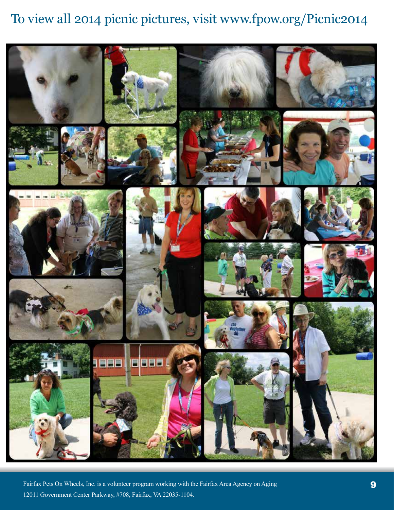## To view all 2014 picnic pictures, visit www.fpow.org/Picnic2014



Fairfax Pets On Wheels, Inc. is a volunteer program working with the Fairfax Area Agency on Aging 12011 Government Center Parkway, #708, Fairfax, VA 22035-1104.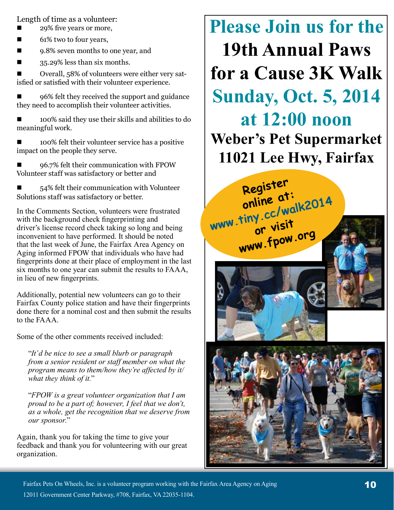Length of time as a volunteer:

- 29% five years or more,
- 61% two to four years,
- 9.8% seven months to one year, and
- $\blacksquare$  35.29% less than six months.

■ Overall, 58% of volunteers were either very satisfied or satisfied with their volunteer experience.

■ 96% felt they received the support and guidance they need to accomplish their volunteer activities.

 100% said they use their skills and abilities to do meaningful work.

■ 100% felt their volunteer service has a positive impact on the people they serve.

■ 96.7% felt their communication with FPOW Volunteer staff was satisfactory or better and

 $\blacksquare$  54% felt their communication with Volunteer Solutions staff was satisfactory or better.

In the Comments Section, volunteers were frustrated with the background check fingerprinting and driver's license record check taking so long and being inconvenient to have performed. It should be noted that the last week of June, the Fairfax Area Agency on Aging informed FPOW that individuals who have had fingerprints done at their place of employment in the last six months to one year can submit the results to FAAA, in lieu of new fingerprints.

Additionally, potential new volunteers can go to their Fairfax County police station and have their fingerprints done there for a nominal cost and then submit the results to the FAAA.

Some of the other comments received included:

"*It'd be nice to see a small blurb or paragraph from a senior resident or staff member on what the program means to them/how they're affected by it/ what they think of it.*"

"*FPOW is a great volunteer organization that I am proud to be a part of; however, I feel that we don't, as a whole, get the recognition that we deserve from our sponsor.*"

Again, thank you for taking the time to give your feedback and thank you for volunteering with our great organization.









Fairfax Pets On Wheels, Inc. is a volunteer program working with the Fairfax Area Agency on Aging 12011 Government Center Parkway, #708, Fairfax, VA 22035-1104.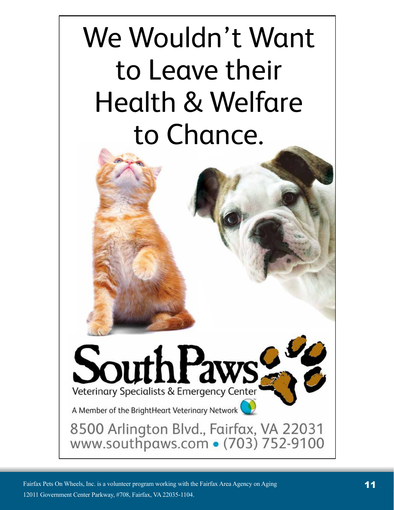# We Wouldn't Want to Leave their Health & Welfare to Chance.